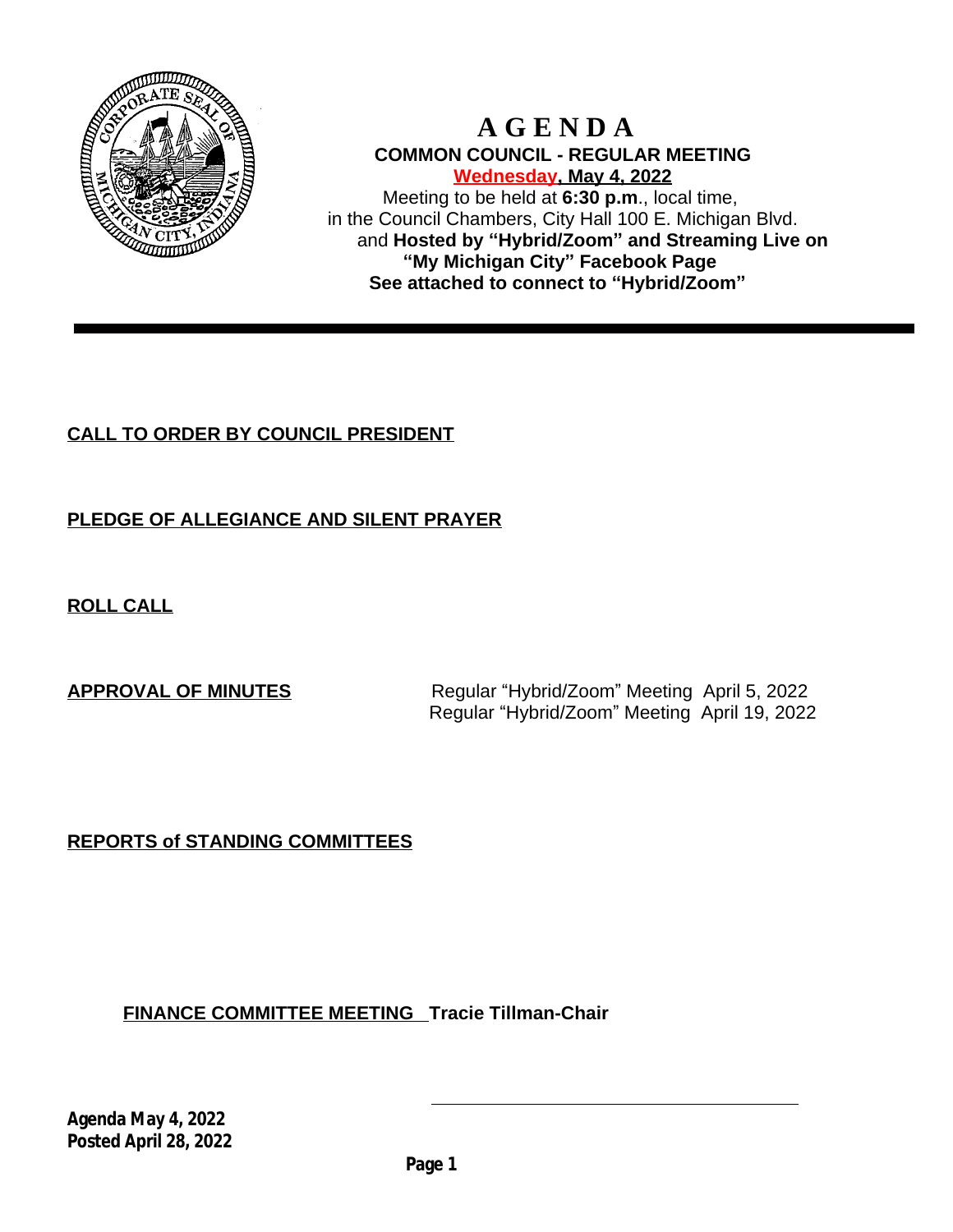

# **A G E N D A COMMON COUNCIL - REGULAR MEETING Wednesday, May 4, 2022**

Meeting to be held at **6:30 p.m**., local time, in the Council Chambers, City Hall 100 E. Michigan Blvd. and **Hosted by "Hybrid/Zoom" and Streaming Live on "My Michigan City" Facebook Page See attached to connect to "Hybrid/Zoom"**

# **CALL TO ORDER BY COUNCIL PRESIDENT**

# **PLEDGE OF ALLEGIANCE AND SILENT PRAYER**

**ROLL CALL**

**APPROVAL OF MINUTES** Regular "Hybrid/Zoom" Meeting April 5, 2022 Regular "Hybrid/Zoom" Meeting April 19, 2022

**REPORTS of STANDING COMMITTEES**

**FINANCE COMMITTEE MEETING Tracie Tillman-Chair**

**Agenda May 4, 2022 Posted April 28, 2022**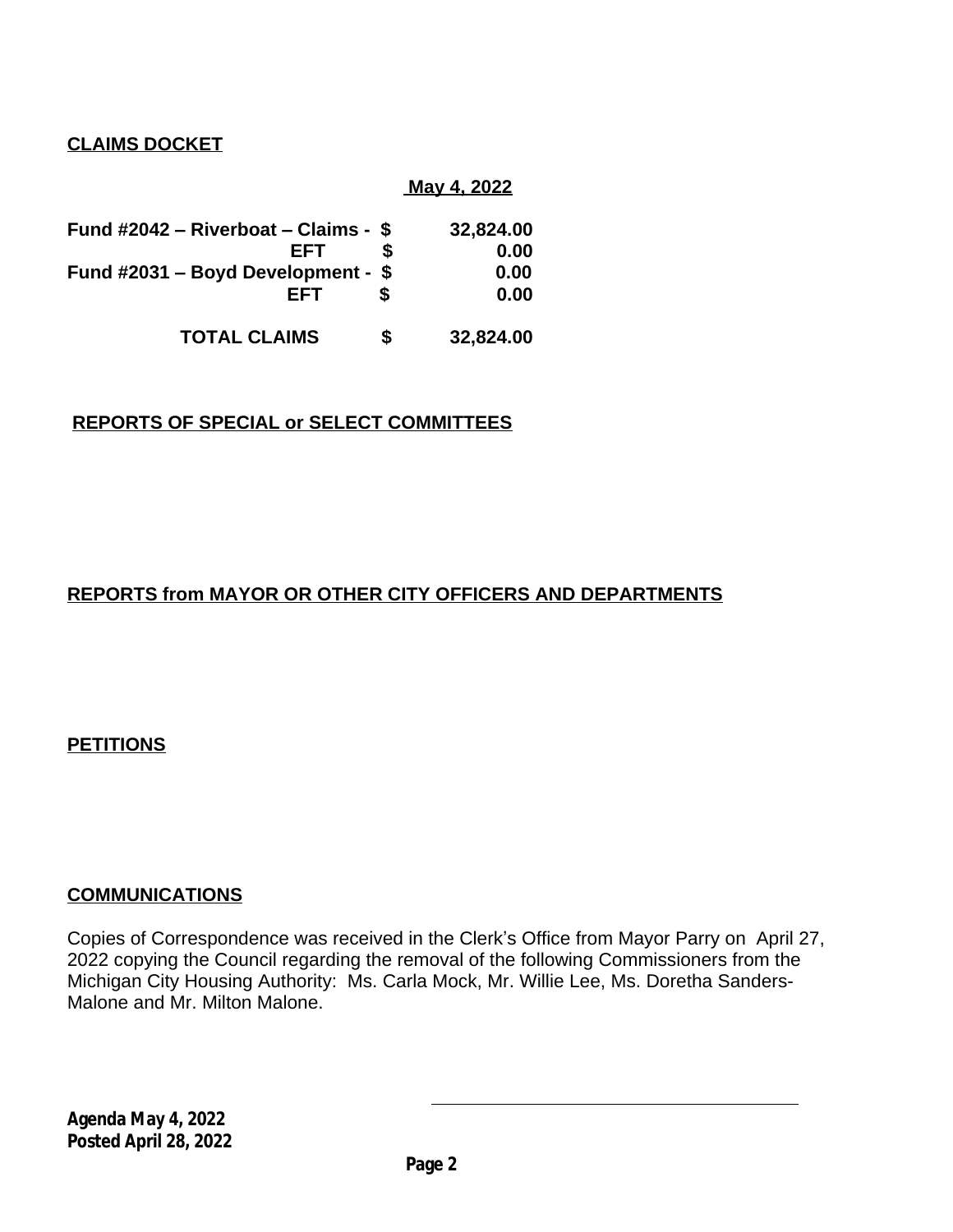**CLAIMS DOCKET**

## **May 4, 2022**

| Fund #2042 – Riverboat – Claims - \$ | 32,824.00       |
|--------------------------------------|-----------------|
| EFT                                  | 0.00            |
| Fund #2031 - Boyd Development - \$   | 0.00            |
| EFT                                  | 0.00            |
| <b>TOTAL CLAIMS</b>                  | \$<br>32,824.00 |

# **REPORTS OF SPECIAL or SELECT COMMITTEES**

# **REPORTS from MAYOR OR OTHER CITY OFFICERS AND DEPARTMENTS**

**PETITIONS**

## **COMMUNICATIONS**

Copies of Correspondence was received in the Clerk's Office from Mayor Parry on April 27, 2022 copying the Council regarding the removal of the following Commissioners from the Michigan City Housing Authority: Ms. Carla Mock, Mr. Willie Lee, Ms. Doretha Sanders-Malone and Mr. Milton Malone.

**Agenda May 4, 2022 Posted April 28, 2022**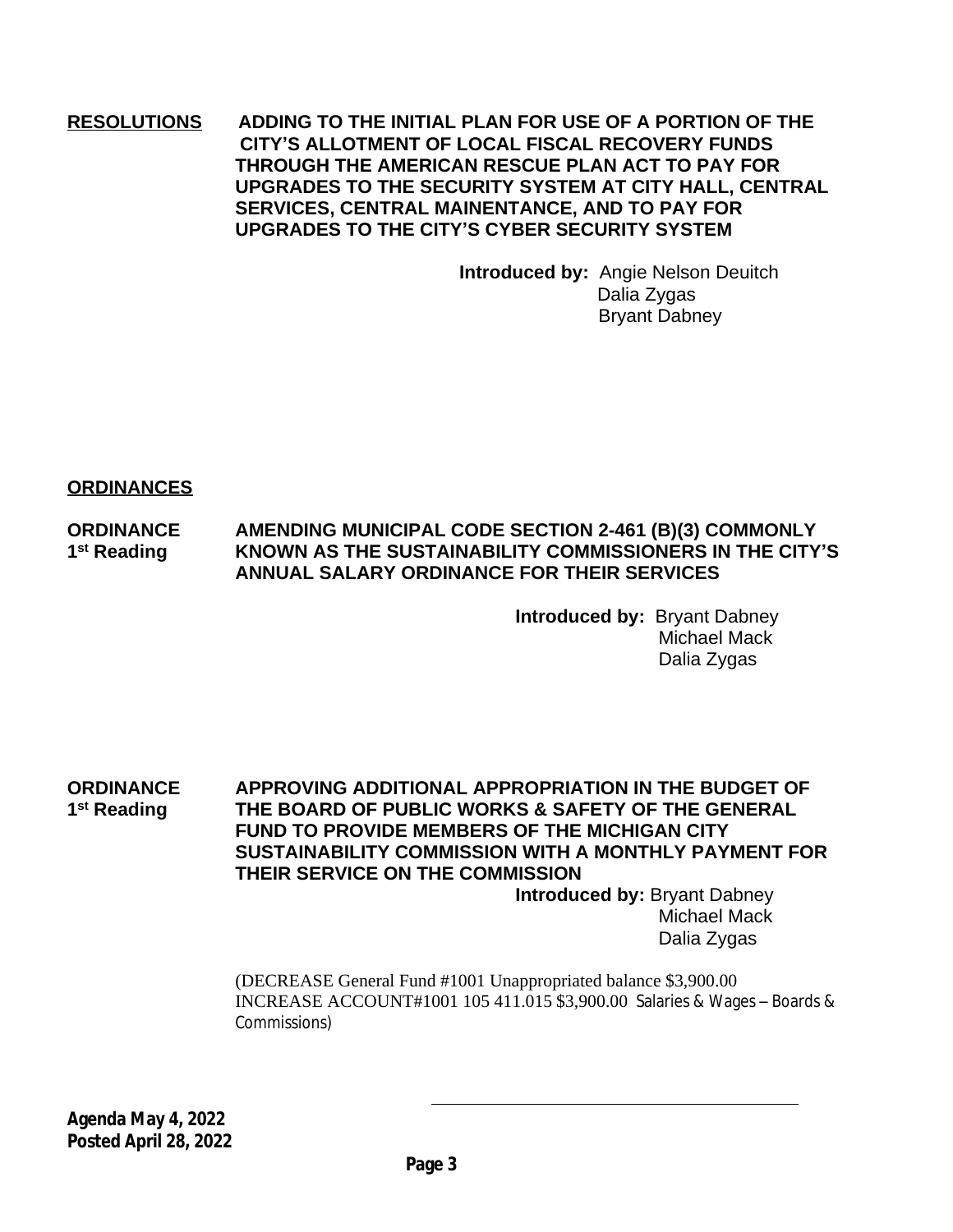## **RESOLUTIONS ADDING TO THE INITIAL PLAN FOR USE OF A PORTION OF THE CITY'S ALLOTMENT OF LOCAL FISCAL RECOVERY FUNDS THROUGH THE AMERICAN RESCUE PLAN ACT TO PAY FOR UPGRADES TO THE SECURITY SYSTEM AT CITY HALL, CENTRAL SERVICES, CENTRAL MAINENTANCE, AND TO PAY FOR UPGRADES TO THE CITY'S CYBER SECURITY SYSTEM**

**Introduced by:** Angie Nelson Deuitch Dalia Zygas Bryant Dabney

**ORDINANCES**

#### **ORDINANCE AMENDING MUNICIPAL CODE SECTION 2-461 (B)(3) COMMONLY** 1<sup>st</sup> Reading **st Reading KNOWN AS THE SUSTAINABILITY COMMISSIONERS IN THE CITY'S ANNUAL SALARY ORDINANCE FOR THEIR SERVICES**

**Introduced by:** Bryant Dabney Michael Mack Dalia Zygas

**ORDINANCE APPROVING ADDITIONAL APPROPRIATION IN THE BUDGET OF** 1<sup>st</sup> Reading **st Reading THE BOARD OF PUBLIC WORKS & SAFETY OF THE GENERAL FUND TO PROVIDE MEMBERS OF THE MICHIGAN CITY SUSTAINABILITY COMMISSION WITH A MONTHLY PAYMENT FOR THEIR SERVICE ON THE COMMISSION Introduced by:** Bryant Dabney

Michael Mack Dalia Zygas

(DECREASE General Fund #1001 Unappropriated balance \$3,900.00 INCREASE ACCOUNT#1001 105 411.015 \$3,900.00 Salaries & Wages – Boards & Commissions)

**Agenda May 4, 2022 Posted April 28, 2022**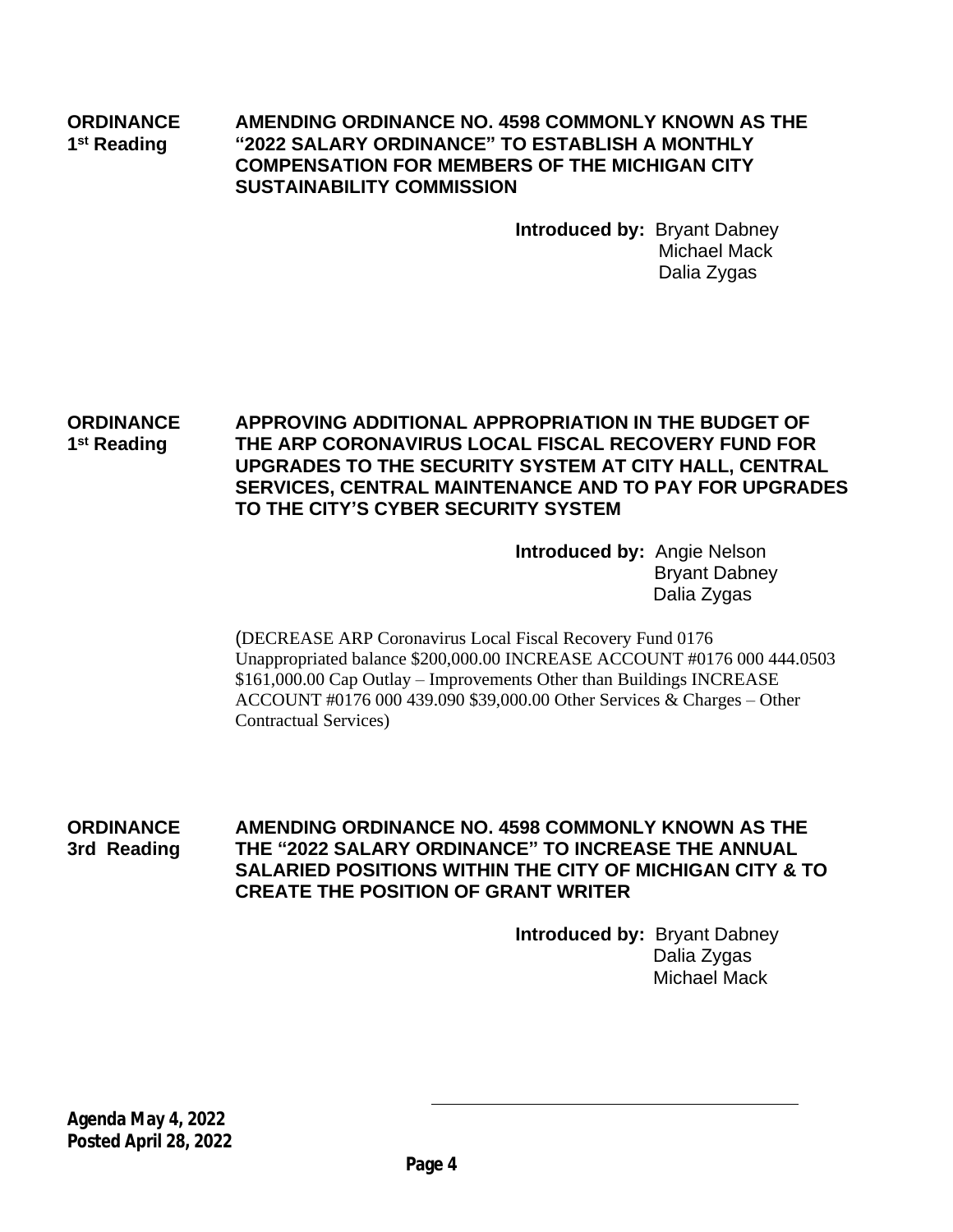#### **ORDINANCE AMENDING ORDINANCE NO. 4598 COMMONLY KNOWN AS THE** 1<sup>st</sup> Reading **st Reading "2022 SALARY ORDINANCE" TO ESTABLISH A MONTHLY COMPENSATION FOR MEMBERS OF THE MICHIGAN CITY SUSTAINABILITY COMMISSION**

**Introduced by:** Bryant Dabney Michael Mack Dalia Zygas

**ORDINANCE APPROVING ADDITIONAL APPROPRIATION IN THE BUDGET OF** 1<sup>st</sup> Reading **THE ARP CORONAVIRUS LOCAL FISCAL RECOVERY FUND FOR UPGRADES TO THE SECURITY SYSTEM AT CITY HALL, CENTRAL SERVICES, CENTRAL MAINTENANCE AND TO PAY FOR UPGRADES TO THE CITY'S CYBER SECURITY SYSTEM**

> **Introduced by:** Angie Nelson Bryant Dabney Dalia Zygas

(DECREASE ARP Coronavirus Local Fiscal Recovery Fund 0176 Unappropriated balance \$200,000.00 INCREASE ACCOUNT #0176 000 444.0503 \$161,000.00 Cap Outlay – Improvements Other than Buildings INCREASE ACCOUNT #0176 000 439.090 \$39,000.00 Other Services & Charges – Other Contractual Services)

**ORDINANCE AMENDING ORDINANCE NO. 4598 COMMONLY KNOWN AS THE 3rd Reading THE "2022 SALARY ORDINANCE" TO INCREASE THE ANNUAL SALARIED POSITIONS WITHIN THE CITY OF MICHIGAN CITY & TO CREATE THE POSITION OF GRANT WRITER**

> **Introduced by:** Bryant Dabney Dalia Zygas Michael Mack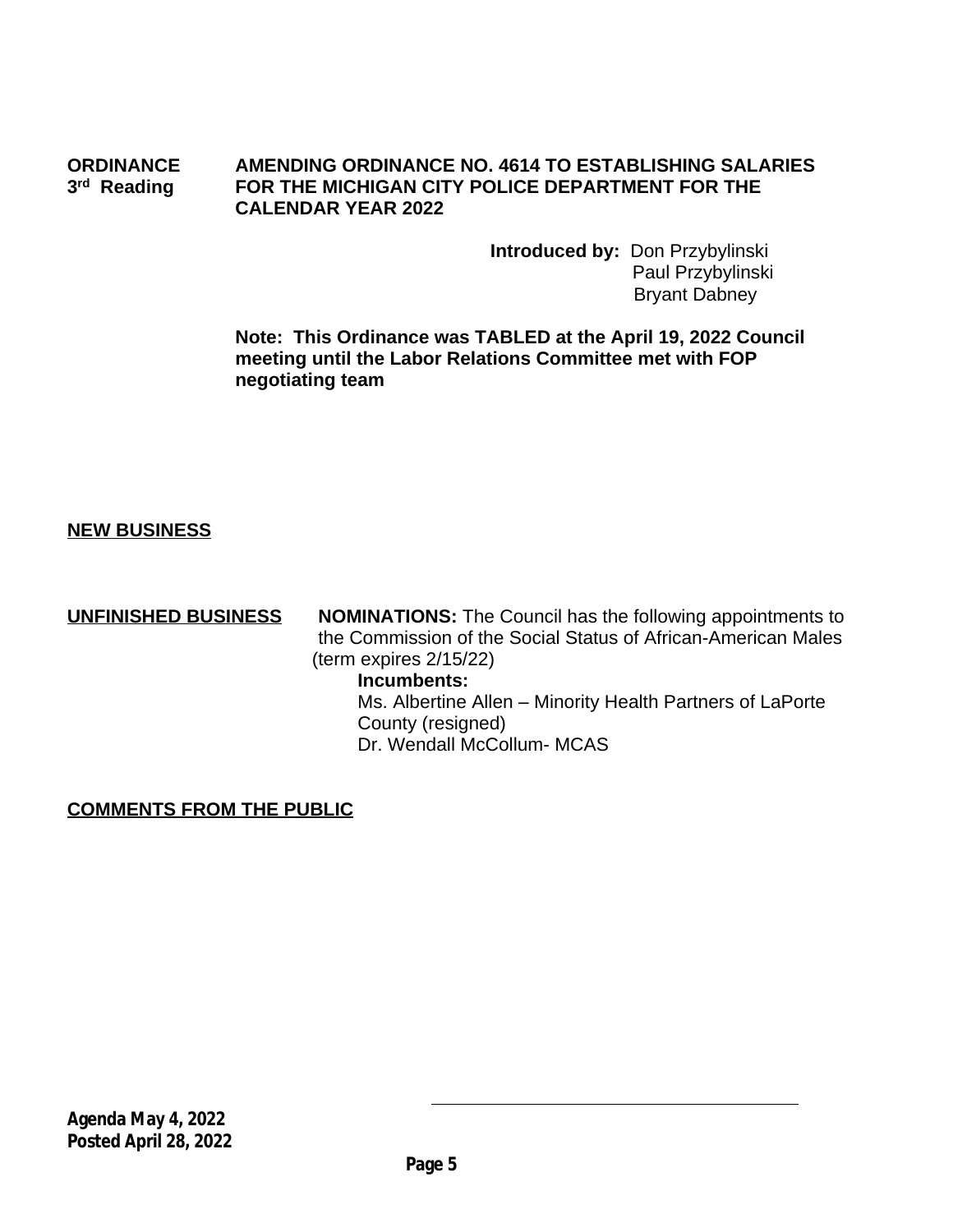#### **ORDINANCE AMENDING ORDINANCE NO. 4614 TO ESTABLISHING SALARIES** 3<sup>rd</sup> Reading **FOR THE MICHIGAN CITY POLICE DEPARTMENT FOR THE CALENDAR YEAR 2022**

 **Introduced by:** Don Przybylinski Paul Przybylinski Bryant Dabney

**Note: This Ordinance was TABLED at the April 19, 2022 Council meeting until the Labor Relations Committee met with FOP negotiating team**

## **NEW BUSINESS**

**UNFINISHED BUSINESS** NOMINATIONS: The Council has the following appointments to the Commission of the Social Status of African-American Males (term expires 2/15/22)

### **Incumbents:**

 Ms. Albertine Allen – Minority Health Partners of LaPorte County (resigned) Dr. Wendall McCollum- MCAS

## **COMMENTS FROM THE PUBLIC**